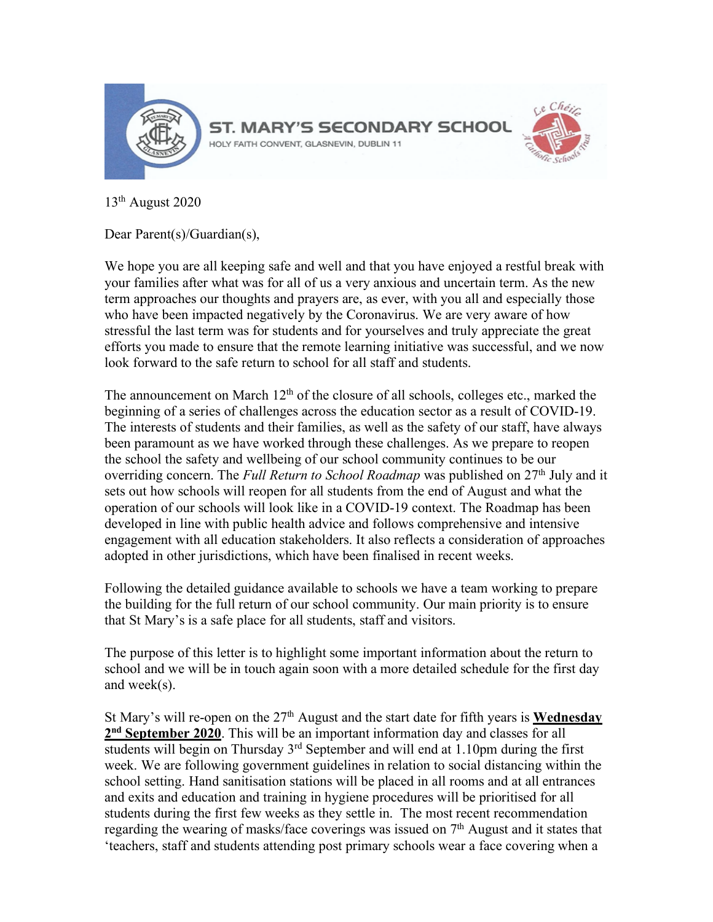

13th August 2020

Dear Parent(s)/Guardian(s),

We hope you are all keeping safe and well and that you have enjoyed a restful break with your families after what was for all of us a very anxious and uncertain term. As the new term approaches our thoughts and prayers are, as ever, with you all and especially those who have been impacted negatively by the Coronavirus. We are very aware of how stressful the last term was for students and for yourselves and truly appreciate the great efforts you made to ensure that the remote learning initiative was successful, and we now look forward to the safe return to school for all staff and students.

The announcement on March  $12<sup>th</sup>$  of the closure of all schools, colleges etc., marked the beginning of a series of challenges across the education sector as a result of COVID-19. The interests of students and their families, as well as the safety of our staff, have always been paramount as we have worked through these challenges. As we prepare to reopen the school the safety and wellbeing of our school community continues to be our overriding concern. The *Full Return to School Roadmap* was published on 27<sup>th</sup> July and it sets out how schools will reopen for all students from the end of August and what the operation of our schools will look like in a COVID-19 context. The Roadmap has been developed in line with public health advice and follows comprehensive and intensive engagement with all education stakeholders. It also reflects a consideration of approaches adopted in other jurisdictions, which have been finalised in recent weeks.

Following the detailed guidance available to schools we have a team working to prepare the building for the full return of our school community. Our main priority is to ensure that St Mary's is a safe place for all students, staff and visitors.

The purpose of this letter is to highlight some important information about the return to school and we will be in touch again soon with a more detailed schedule for the first day and week(s).

St Mary's will re-open on the 27<sup>th</sup> August and the start date for fifth years is **Wednesday 2nd September 2020**. This will be an important information day and classes for all students will begin on Thursday  $3<sup>rd</sup>$  September and will end at 1.10pm during the first week. We are following government guidelines in relation to social distancing within the school setting. Hand sanitisation stations will be placed in all rooms and at all entrances and exits and education and training in hygiene procedures will be prioritised for all students during the first few weeks as they settle in. The most recent recommendation regarding the wearing of masks/face coverings was issued on 7<sup>th</sup> August and it states that 'teachers, staff and students attending post primary schools wear a face covering when a